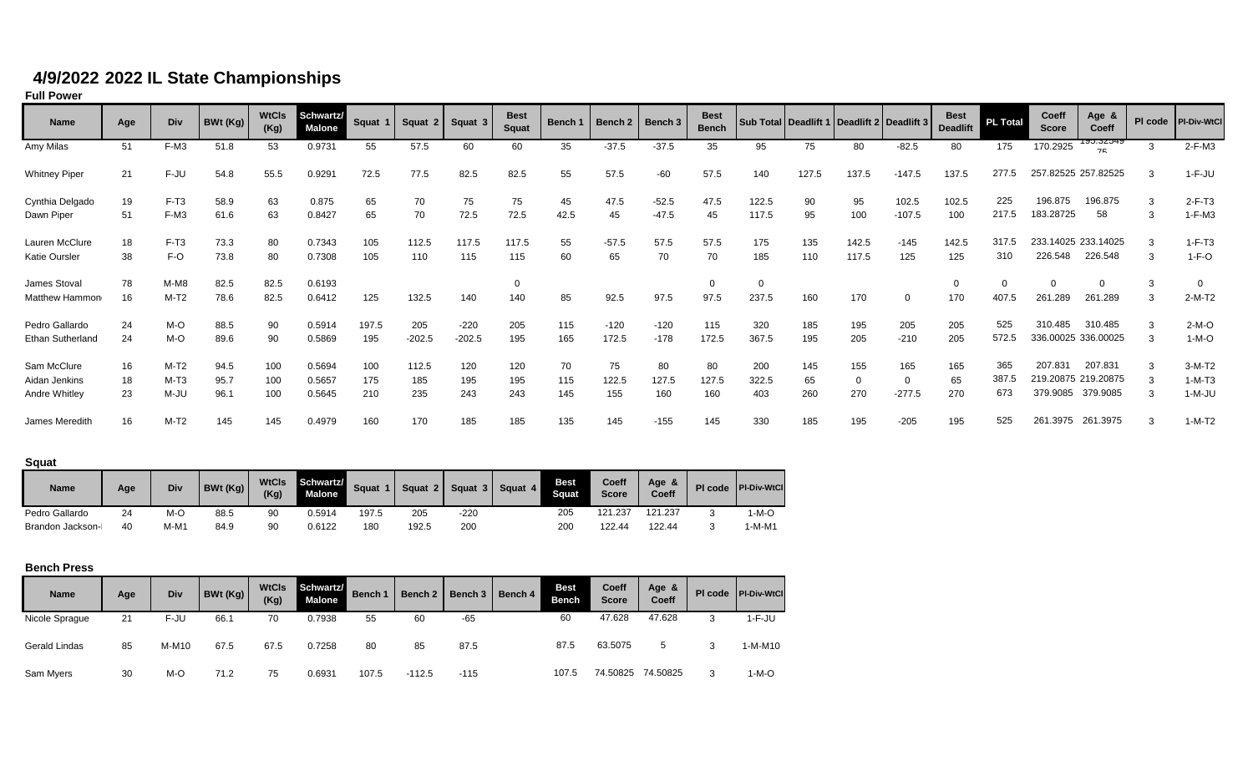## **4/9/2022 2022 IL State Championships**

**Full Power**

| Name                    | Age | Div    | BWt (Kg) | <b>WtCls</b><br>(Kg) | Schwartz/<br><b>Malone</b> | Squat 1 | Squat 2  | Squat 3  | <b>Best</b><br><b>Squat</b> | Bench 1 | Bench 2 | Bench 3 | <b>Best</b><br><b>Bench</b> |          |       |       | Sub Total   Deadlift 1   Deadlift 2   Deadlift 3 | <b>Best</b><br><b>Deadlift</b> | <b>PL Total</b> | Coeff<br><b>Score</b> | Age &<br>Coeff                   | PI code | PI-Div-WtCl |
|-------------------------|-----|--------|----------|----------------------|----------------------------|---------|----------|----------|-----------------------------|---------|---------|---------|-----------------------------|----------|-------|-------|--------------------------------------------------|--------------------------------|-----------------|-----------------------|----------------------------------|---------|-------------|
| Amy Milas               | 51  | F-M3   | 51.8     | 53                   | 0.9731                     | 55      | 57.5     | 60       | 60                          | 35      | $-37.5$ | $-37.5$ | 35                          | 95       | 75    | 80    | $-82.5$                                          | 80                             | 175             | 170.2925              | <u>ລວ•ວຽວ<del>ປ</del>ລ</u><br>75 | 3       | $2-F-M3$    |
| <b>Whitney Piper</b>    | 21  | F-JU   | 54.8     | 55.5                 | 0.9291                     | 72.5    | 77.5     | 82.5     | 82.5                        | 55      | 57.5    | $-60$   | 57.5                        | 140      | 127.5 | 137.5 | $-147.5$                                         | 137.5                          | 277.5           | 257.82525 257.82525   |                                  | 3       | $1-F-JU$    |
| Cynthia Delgado         | 19  | $F-T3$ | 58.9     | 63                   | 0.875                      | 65      | 70       | 75       | 75                          | 45      | 47.5    | $-52.5$ | 47.5                        | 122.5    | 90    | 95    | 102.5                                            | 102.5                          | 225             | 196.875               | 196.875                          | 3       | $2-F-T3$    |
| Dawn Piper              | 51  | F-M3   | 61.6     | 63                   | 0.8427                     | 65      | 70       | 72.5     | 72.5                        | 42.5    | 45      | $-47.5$ | 45                          | 117.5    | 95    | 100   | $-107.5$                                         | 100                            | 217.5           | 183.28725             | 58                               | 3       | $1-F-M3$    |
| Lauren McClure          | 18  | $F-T3$ | 73.3     | 80                   | 0.7343                     | 105     | 112.5    | 117.5    | 117.5                       | 55      | $-57.5$ | 57.5    | 57.5                        | 175      | 135   | 142.5 | $-145$                                           | 142.5                          | 317.5           | 233.14025 233.14025   |                                  | 3       | $1-F-T3$    |
| Katie Oursler           | 38  | F-O    | 73.8     | 80                   | 0.7308                     | 105     | 110      | 115      | 115                         | 60      | 65      | 70      | 70                          | 185      | 110   | 117.5 | 125                                              | 125                            | 310             | 226.548               | 226.548                          | 3       | $1-F-O$     |
| James Stoval            | 78  | $M-M8$ | 82.5     | 82.5                 | 0.6193                     |         |          |          |                             |         |         |         | $\Omega$                    | $\Omega$ |       |       |                                                  | 0                              |                 | $\Omega$              |                                  | 3       |             |
| Matthew Hammon          | 16  | $M-T2$ | 78.6     | 82.5                 | 0.6412                     | 125     | 132.5    | 140      | 140                         | 85      | 92.5    | 97.5    | 97.5                        | 237.5    | 160   | 170   | $\Omega$                                         | 170                            | 407.5           | 261.289               | 261.289                          | 3       | $2-M-T2$    |
| Pedro Gallardo          | 24  | M-O    | 88.5     | 90                   | 0.5914                     | 197.5   | 205      | $-220$   | 205                         | 115     | $-120$  | $-120$  | 115                         | 320      | 185   | 195   | 205                                              | 205                            | 525             | 310.485               | 310.485                          | 3       | $2-M-O$     |
| <b>Ethan Sutherland</b> | 24  | M-O    | 89.6     | 90                   | 0.5869                     | 195     | $-202.5$ | $-202.5$ | 195                         | 165     | 172.5   | $-178$  | 172.5                       | 367.5    | 195   | 205   | $-210$                                           | 205                            | 572.5           |                       | 336.00025 336.00025              | 3       | $1-M-O$     |
| Sam McClure             | 16  | $M-T2$ | 94.5     | 100                  | 0.5694                     | 100     | 112.5    | 120      | 120                         | 70      | 75      | 80      | 80                          | 200      | 145   | 155   | 165                                              | 165                            | 365             | 207.831               | 207.831                          | 3       | $3-M-T2$    |
| Aidan Jenkins           | 18  | $M-T3$ | 95.7     | 100                  | 0.5657                     | 175     | 185      | 195      | 195                         | 115     | 122.5   | 127.5   | 127.5                       | 322.5    | 65    | 0     |                                                  | 65                             | 387.5           |                       | 219.20875 219.20875              | 3       | $1-M-T3$    |
| Andre Whitley           | 23  | M-JU   | 96.1     | 100                  | 0.5645                     | 210     | 235      | 243      | 243                         | 145     | 155     | 160     | 160                         | 403      | 260   | 270   | $-277.5$                                         | 270                            | 673             | 379.9085              | 379.9085                         | 3       | $1-M-JU$    |
| James Meredith          | 16  | $M-T2$ | 145      | 145                  | 0.4979                     | 160     | 170      | 185      | 185                         | 135     | 145     | $-155$  | 145                         | 330      | 185   | 195   | $-205$                                           | 195                            | 525             | 261.3975              | 261.3975                         | 3       | $1-M-T2$    |

**Squat**

| <b>Name</b>      | Age | Div  | BWt (Kg) | <b>WtCls</b><br>(Kg) | Schwartz/<br><b>Malone</b> | <b>Squat</b> | Squat 2 | Squat 3 | Squat 4 | <b>Best</b><br>Sauat | <b>Coeff</b><br><b>Score</b> | Age<br>$\alpha$<br>Coeff | PI code | <b>PI-Div-WtCl</b> |
|------------------|-----|------|----------|----------------------|----------------------------|--------------|---------|---------|---------|----------------------|------------------------------|--------------------------|---------|--------------------|
| Pedro Gallardo   | 24  | M-O  | 88.5     | 90                   | 0.5914                     | 197.5        | 205     | $-220$  |         | 205                  | 121.237                      | 121.237                  |         | ı-M-O              |
| Brandon Jackson- | 40  | M-M1 | 84.9     | 90                   | 0.6122                     | 180          | 192.5   | 200     |         | 200                  | 122.44                       | 122.44                   |         | ı-M-M1             |

## **Bench Press**

| <b>Name</b>    | Age | Div   | BWt(Kg) | <b>WtCls</b><br>(Kg) | Schwartz/<br><b>Malone</b> | <b>Bench 1</b> | Bench 2  | Bench 3 | Bench 4 | <b>Best</b><br><b>Bench</b> | Coeff<br><b>Score</b> | Age &<br>Coeff |   | PI code   PI-Div-WtCl |
|----------------|-----|-------|---------|----------------------|----------------------------|----------------|----------|---------|---------|-----------------------------|-----------------------|----------------|---|-----------------------|
| Nicole Spraque | 21  | F-JU  | 66.1    | 70                   | 0.7938                     | 55             | 60       | -65     |         | 60                          | 47.628                | 47.628         | っ | $1-F-JU$              |
| Gerald Lindas  | 85  | M-M10 | 67.5    | 67.5                 | 0.7258                     | 80             | 85       | 87.5    |         | 87.5                        | 63.5075               | 5              | っ | 1-M-M10               |
| Sam Myers      | 30  | M-O   | 71.2    | 75                   | 0.6931                     | 107.5          | $-112.5$ | $-115$  |         | 107.5                       | 74.50825              | 74.50825       | 3 | $1-M-O$               |